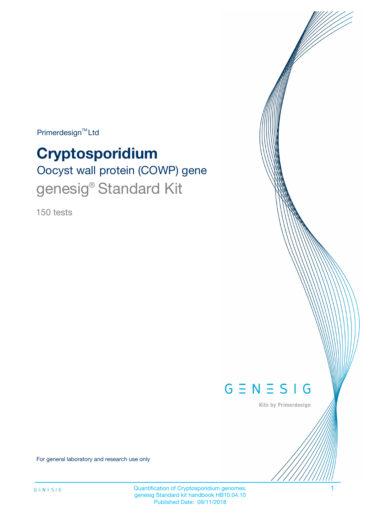$Primerdesign^{\text{TM}}Ltd$ 

# **Cryptosporidium**

Oocyst wall protein (COWP) gene genesig<sup>®</sup> Standard Kit

150 tests



Kits by Primerdesign

For general laboratory and research use only

Quantification of Cryptosporidium genomes. 1 genesig Standard kit handbook HB10.04.10 Published Date: 09/11/2018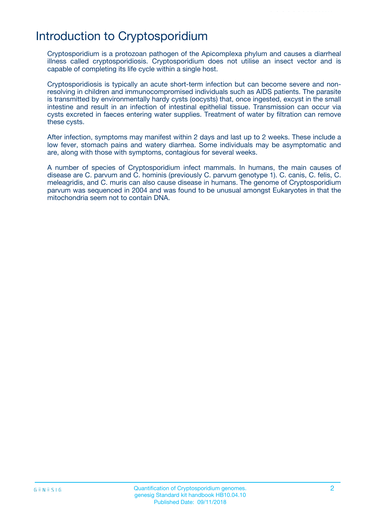# Introduction to Cryptosporidium

Cryptosporidium is a protozoan pathogen of the Apicomplexa phylum and causes a diarrheal illness called cryptosporidiosis. Cryptosporidium does not utilise an insect vector and is capable of completing its life cycle within a single host.

Cryptosporidiosis is typically an acute short-term infection but can become severe and nonresolving in children and immunocompromised individuals such as AIDS patients. The parasite is transmitted by environmentally hardy cysts (oocysts) that, once ingested, excyst in the small intestine and result in an infection of intestinal epithelial tissue. Transmission can occur via cysts excreted in faeces entering water supplies. Treatment of water by filtration can remove these cysts.

After infection, symptoms may manifest within 2 days and last up to 2 weeks. These include a low fever, stomach pains and watery diarrhea. Some individuals may be asymptomatic and are, along with those with symptoms, contagious for several weeks.

A number of species of Cryptosporidium infect mammals. In humans, the main causes of disease are C. parvum and C. hominis (previously C. parvum genotype 1). C. canis, C. felis, C. meleagridis, and C. muris can also cause disease in humans. The genome of Cryptosporidium parvum was sequenced in 2004 and was found to be unusual amongst Eukaryotes in that the mitochondria seem not to contain DNA.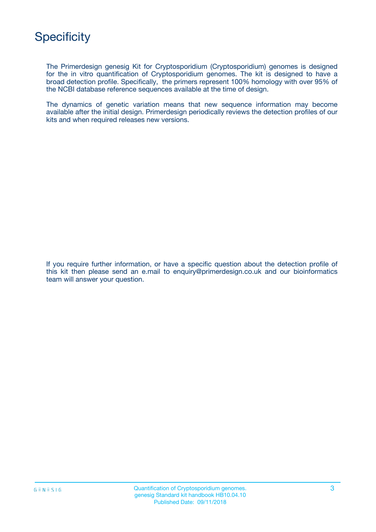

The Primerdesign genesig Kit for Cryptosporidium (Cryptosporidium) genomes is designed for the in vitro quantification of Cryptosporidium genomes. The kit is designed to have a broad detection profile. Specifically, the primers represent 100% homology with over 95% of the NCBI database reference sequences available at the time of design.

The dynamics of genetic variation means that new sequence information may become available after the initial design. Primerdesign periodically reviews the detection profiles of our kits and when required releases new versions.

If you require further information, or have a specific question about the detection profile of this kit then please send an e.mail to enquiry@primerdesign.co.uk and our bioinformatics team will answer your question.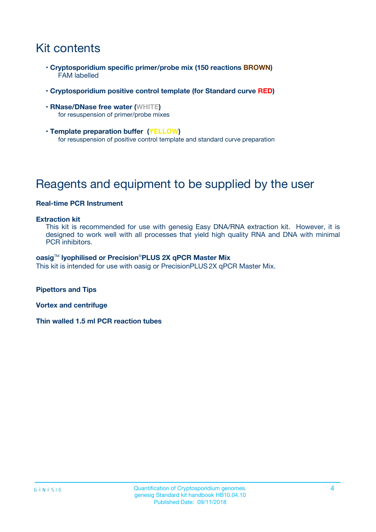# Kit contents

- **Cryptosporidium specific primer/probe mix (150 reactions BROWN)** FAM labelled
- **Cryptosporidium positive control template (for Standard curve RED)**
- **RNase/DNase free water (WHITE)** for resuspension of primer/probe mixes
- **Template preparation buffer (YELLOW)** for resuspension of positive control template and standard curve preparation

# Reagents and equipment to be supplied by the user

### **Real-time PCR Instrument**

#### **Extraction kit**

This kit is recommended for use with genesig Easy DNA/RNA extraction kit. However, it is designed to work well with all processes that yield high quality RNA and DNA with minimal PCR inhibitors.

#### **oasig**TM **lyophilised or Precision**®**PLUS 2X qPCR Master Mix**

This kit is intended for use with oasig or PrecisionPLUS2X qPCR Master Mix.

**Pipettors and Tips**

**Vortex and centrifuge**

**Thin walled 1.5 ml PCR reaction tubes**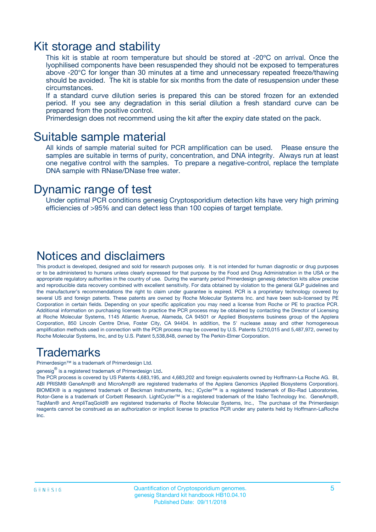### Kit storage and stability

This kit is stable at room temperature but should be stored at -20ºC on arrival. Once the lyophilised components have been resuspended they should not be exposed to temperatures above -20°C for longer than 30 minutes at a time and unnecessary repeated freeze/thawing should be avoided. The kit is stable for six months from the date of resuspension under these circumstances.

If a standard curve dilution series is prepared this can be stored frozen for an extended period. If you see any degradation in this serial dilution a fresh standard curve can be prepared from the positive control.

Primerdesign does not recommend using the kit after the expiry date stated on the pack.

### Suitable sample material

All kinds of sample material suited for PCR amplification can be used. Please ensure the samples are suitable in terms of purity, concentration, and DNA integrity. Always run at least one negative control with the samples. To prepare a negative-control, replace the template DNA sample with RNase/DNase free water.

### Dynamic range of test

Under optimal PCR conditions genesig Cryptosporidium detection kits have very high priming efficiencies of >95% and can detect less than 100 copies of target template.

### Notices and disclaimers

This product is developed, designed and sold for research purposes only. It is not intended for human diagnostic or drug purposes or to be administered to humans unless clearly expressed for that purpose by the Food and Drug Administration in the USA or the appropriate regulatory authorities in the country of use. During the warranty period Primerdesign genesig detection kits allow precise and reproducible data recovery combined with excellent sensitivity. For data obtained by violation to the general GLP guidelines and the manufacturer's recommendations the right to claim under guarantee is expired. PCR is a proprietary technology covered by several US and foreign patents. These patents are owned by Roche Molecular Systems Inc. and have been sub-licensed by PE Corporation in certain fields. Depending on your specific application you may need a license from Roche or PE to practice PCR. Additional information on purchasing licenses to practice the PCR process may be obtained by contacting the Director of Licensing at Roche Molecular Systems, 1145 Atlantic Avenue, Alameda, CA 94501 or Applied Biosystems business group of the Applera Corporation, 850 Lincoln Centre Drive, Foster City, CA 94404. In addition, the 5' nuclease assay and other homogeneous amplification methods used in connection with the PCR process may be covered by U.S. Patents 5,210,015 and 5,487,972, owned by Roche Molecular Systems, Inc, and by U.S. Patent 5,538,848, owned by The Perkin-Elmer Corporation.

### Trademarks

Primerdesign™ is a trademark of Primerdesign Ltd.

genesig $^\circledR$  is a registered trademark of Primerdesign Ltd.

The PCR process is covered by US Patents 4,683,195, and 4,683,202 and foreign equivalents owned by Hoffmann-La Roche AG. BI, ABI PRISM® GeneAmp® and MicroAmp® are registered trademarks of the Applera Genomics (Applied Biosystems Corporation). BIOMEK® is a registered trademark of Beckman Instruments, Inc.; iCycler™ is a registered trademark of Bio-Rad Laboratories, Rotor-Gene is a trademark of Corbett Research. LightCycler™ is a registered trademark of the Idaho Technology Inc. GeneAmp®, TaqMan® and AmpliTaqGold® are registered trademarks of Roche Molecular Systems, Inc., The purchase of the Primerdesign reagents cannot be construed as an authorization or implicit license to practice PCR under any patents held by Hoffmann-LaRoche Inc.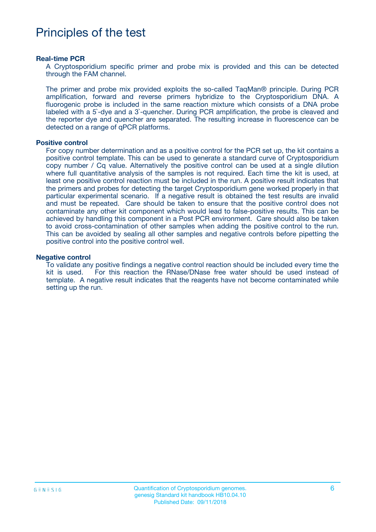## Principles of the test

#### **Real-time PCR**

A Cryptosporidium specific primer and probe mix is provided and this can be detected through the FAM channel.

The primer and probe mix provided exploits the so-called TaqMan® principle. During PCR amplification, forward and reverse primers hybridize to the Cryptosporidium DNA. A fluorogenic probe is included in the same reaction mixture which consists of a DNA probe labeled with a 5`-dye and a 3`-quencher. During PCR amplification, the probe is cleaved and the reporter dye and quencher are separated. The resulting increase in fluorescence can be detected on a range of qPCR platforms.

#### **Positive control**

For copy number determination and as a positive control for the PCR set up, the kit contains a positive control template. This can be used to generate a standard curve of Cryptosporidium copy number / Cq value. Alternatively the positive control can be used at a single dilution where full quantitative analysis of the samples is not required. Each time the kit is used, at least one positive control reaction must be included in the run. A positive result indicates that the primers and probes for detecting the target Cryptosporidium gene worked properly in that particular experimental scenario. If a negative result is obtained the test results are invalid and must be repeated. Care should be taken to ensure that the positive control does not contaminate any other kit component which would lead to false-positive results. This can be achieved by handling this component in a Post PCR environment. Care should also be taken to avoid cross-contamination of other samples when adding the positive control to the run. This can be avoided by sealing all other samples and negative controls before pipetting the positive control into the positive control well.

#### **Negative control**

To validate any positive findings a negative control reaction should be included every time the kit is used. For this reaction the RNase/DNase free water should be used instead of template. A negative result indicates that the reagents have not become contaminated while setting up the run.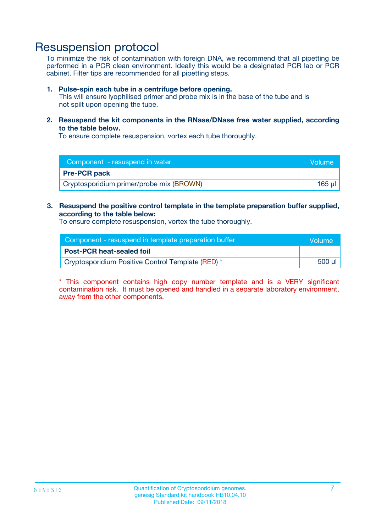### Resuspension protocol

To minimize the risk of contamination with foreign DNA, we recommend that all pipetting be performed in a PCR clean environment. Ideally this would be a designated PCR lab or PCR cabinet. Filter tips are recommended for all pipetting steps.

#### **1. Pulse-spin each tube in a centrifuge before opening.**

This will ensure lyophilised primer and probe mix is in the base of the tube and is not spilt upon opening the tube.

**2. Resuspend the kit components in the RNase/DNase free water supplied, according to the table below.**

To ensure complete resuspension, vortex each tube thoroughly.

| Component - resuspend in water           | Volume |
|------------------------------------------|--------|
| <b>Pre-PCR pack</b>                      |        |
| Cryptosporidium primer/probe mix (BROWN) | 165 ul |

#### **3. Resuspend the positive control template in the template preparation buffer supplied, according to the table below:**

To ensure complete resuspension, vortex the tube thoroughly.

| Component - resuspend in template preparation buffer | Wolume' |
|------------------------------------------------------|---------|
| <b>Post-PCR heat-sealed foil</b>                     |         |
| Cryptosporidium Positive Control Template (RED) *    | 500 µl  |

\* This component contains high copy number template and is a VERY significant contamination risk. It must be opened and handled in a separate laboratory environment, away from the other components.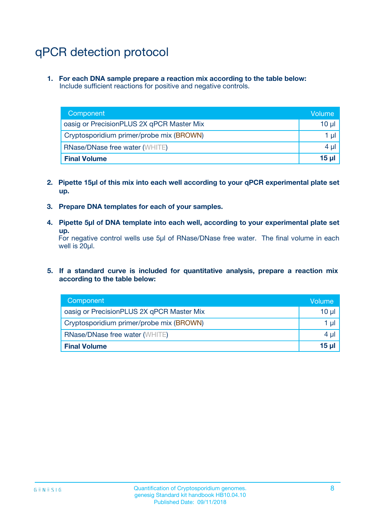# qPCR detection protocol

**1. For each DNA sample prepare a reaction mix according to the table below:** Include sufficient reactions for positive and negative controls.

| Component                                 | Volume           |
|-------------------------------------------|------------------|
| oasig or PrecisionPLUS 2X qPCR Master Mix | $10 \mu$         |
| Cryptosporidium primer/probe mix (BROWN)  | 1 µl             |
| <b>RNase/DNase free water (WHITE)</b>     | $4 \mu$          |
| <b>Final Volume</b>                       | 15 <sub>ul</sub> |

- **2. Pipette 15µl of this mix into each well according to your qPCR experimental plate set up.**
- **3. Prepare DNA templates for each of your samples.**
- **4. Pipette 5µl of DNA template into each well, according to your experimental plate set up.**

For negative control wells use 5µl of RNase/DNase free water. The final volume in each well is 20µl.

**5. If a standard curve is included for quantitative analysis, prepare a reaction mix according to the table below:**

| Component                                 | Volume          |
|-------------------------------------------|-----------------|
| oasig or PrecisionPLUS 2X qPCR Master Mix | 10 µl           |
| Cryptosporidium primer/probe mix (BROWN)  | 1 µI            |
| <b>RNase/DNase free water (WHITE)</b>     | $4 \mu$         |
| <b>Final Volume</b>                       | 15 <sub>µ</sub> |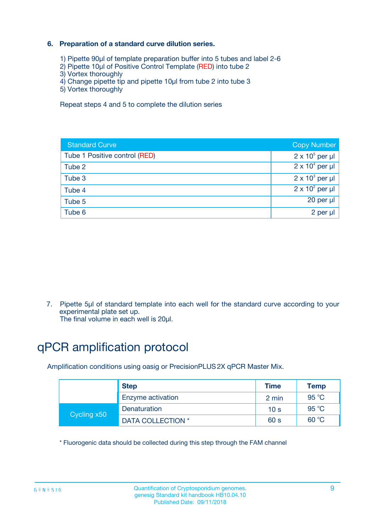### **6. Preparation of a standard curve dilution series.**

- 1) Pipette 90µl of template preparation buffer into 5 tubes and label 2-6
- 2) Pipette 10µl of Positive Control Template (RED) into tube 2
- 3) Vortex thoroughly
- 4) Change pipette tip and pipette 10µl from tube 2 into tube 3
- 5) Vortex thoroughly

Repeat steps 4 and 5 to complete the dilution series

| <b>Standard Curve</b>         | <b>Copy Number</b>     |
|-------------------------------|------------------------|
| Tube 1 Positive control (RED) | $2 \times 10^5$ per µl |
| Tube 2                        | $2 \times 10^4$ per µl |
| Tube 3                        | $2 \times 10^3$ per µl |
| Tube 4                        | $2 \times 10^2$ per µl |
| Tube 5                        | 20 per µl              |
| Tube 6                        | 2 per ul               |

7. Pipette 5µl of standard template into each well for the standard curve according to your experimental plate set up.

The final volume in each well is 20µl.

# qPCR amplification protocol

Amplification conditions using oasig or PrecisionPLUS2X qPCR Master Mix.

| <b>Step</b> |                   | <b>Time</b>     | Temp    |
|-------------|-------------------|-----------------|---------|
|             | Enzyme activation | 2 min           | 95 °C   |
| Cycling x50 | Denaturation      | 10 <sub>s</sub> | 95 $°C$ |
|             | DATA COLLECTION * | 60 s            | 60 °C   |

\* Fluorogenic data should be collected during this step through the FAM channel